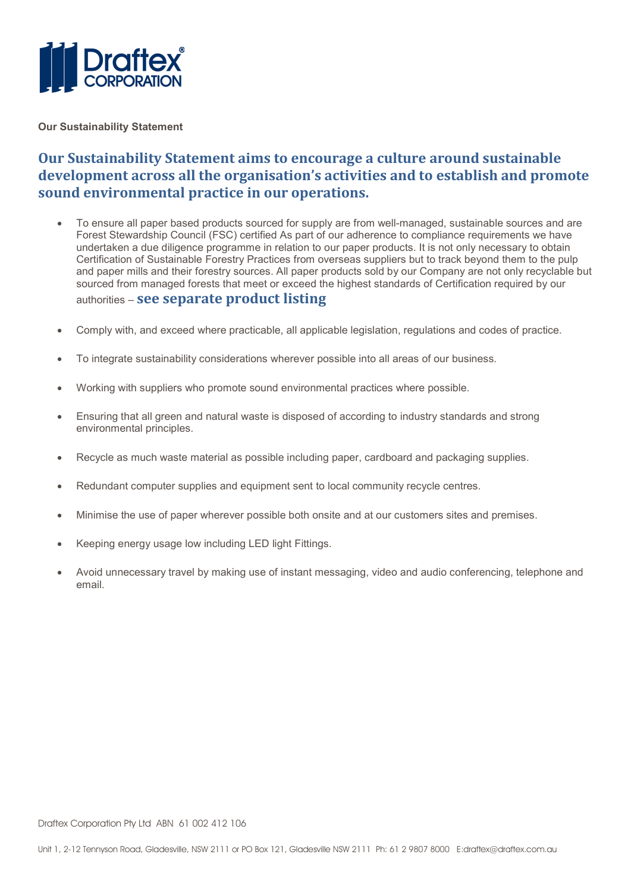

Our Sustainability Statement

#### Our Sustainability Statement aims to encourage a culture around sustainable development across all the organisation's activities and to establish and promote sound environmental practice in our operations.

- To ensure all paper based products sourced for supply are from well-managed, sustainable sources and are Forest Stewardship Council (FSC) certified As part of our adherence to compliance requirements we have undertaken a due diligence programme in relation to our paper products. It is not only necessary to obtain Certification of Sustainable Forestry Practices from overseas suppliers but to track beyond them to the pulp and paper mills and their forestry sources. All paper products sold by our Company are not only recyclable but sourced from managed forests that meet or exceed the highest standards of Certification required by our authorities – see separate product listing
- Comply with, and exceed where practicable, all applicable legislation, regulations and codes of practice.
- To integrate sustainability considerations wherever possible into all areas of our business.
- Working with suppliers who promote sound environmental practices where possible.
- Ensuring that all green and natural waste is disposed of according to industry standards and strong environmental principles.
- Recycle as much waste material as possible including paper, cardboard and packaging supplies.
- Redundant computer supplies and equipment sent to local community recycle centres.
- Minimise the use of paper wherever possible both onsite and at our customers sites and premises.
- Keeping energy usage low including LED light Fittings.
- Avoid unnecessary travel by making use of instant messaging, video and audio conferencing, telephone and email.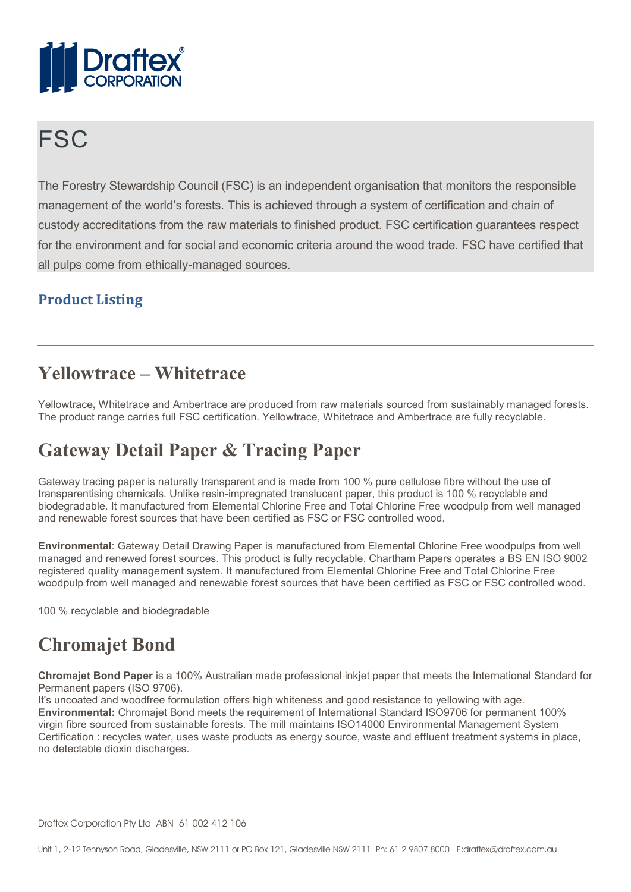

# **FSC**

The Forestry Stewardship Council (FSC) is an independent organisation that monitors the responsible management of the world's forests. This is achieved through a system of certification and chain of custody accreditations from the raw materials to finished product. FSC certification guarantees respect for the environment and for social and economic criteria around the wood trade. FSC have certified that all pulps come from ethically-managed sources.

#### Product Listing

#### Yellowtrace – Whitetrace

Yellowtrace, Whitetrace and Ambertrace are produced from raw materials sourced from sustainably managed forests. The product range carries full FSC certification. Yellowtrace, Whitetrace and Ambertrace are fully recyclable.

## Gateway Detail Paper & Tracing Paper

Gateway tracing paper is naturally transparent and is made from 100 % pure cellulose fibre without the use of transparentising chemicals. Unlike resin-impregnated translucent paper, this product is 100 % recyclable and biodegradable. It manufactured from Elemental Chlorine Free and Total Chlorine Free woodpulp from well managed and renewable forest sources that have been certified as FSC or FSC controlled wood.

Environmental: Gateway Detail Drawing Paper is manufactured from Elemental Chlorine Free woodpulps from well managed and renewed forest sources. This product is fully recyclable. Chartham Papers operates a BS EN ISO 9002 registered quality management system. It manufactured from Elemental Chlorine Free and Total Chlorine Free woodpulp from well managed and renewable forest sources that have been certified as FSC or FSC controlled wood.

100 % recyclable and biodegradable

## Chromajet Bond

Chromajet Bond Paper is a 100% Australian made professional inkjet paper that meets the International Standard for Permanent papers (ISO 9706).

It's uncoated and woodfree formulation offers high whiteness and good resistance to yellowing with age. Environmental: Chromajet Bond meets the requirement of International Standard ISO9706 for permanent 100% virgin fibre sourced from sustainable forests. The mill maintains ISO14000 Environmental Management System Certification : recycles water, uses waste products as energy source, waste and effluent treatment systems in place, no detectable dioxin discharges.

Draftex Corporation Pty Ltd ABN 61 002 412 106